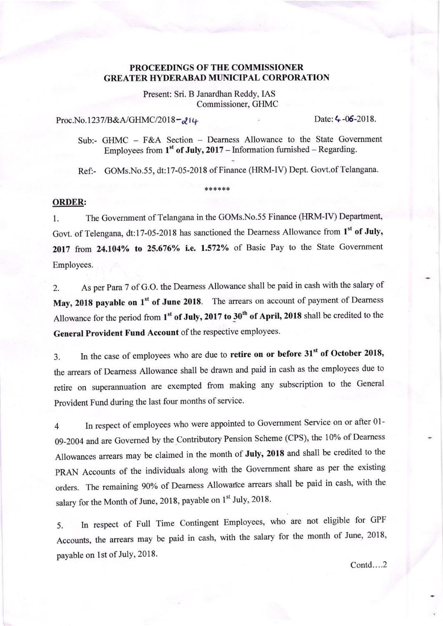## PROCEEDINGS OF THE COMMISSIONER **GREATER HYDERABAD MUNICIPAL CORPORATION**

Present: Sri. B Janardhan Reddy, IAS Commissioner, GHMC

Proc.No.1237/B&A/GHMC/2018- $214$ 

Sub:- GHMC - F&A Section - Dearness Allowance to the State Government Employees from  $1<sup>st</sup>$  of July, 2017 – Information furnished – Regarding.

Ref:- GOMs.No.55, dt:17-05-2018 of Finance (HRM-IV) Dept. Govt.of Telangana.

## ORDER:

1. The Government of Telangana in the GOMs.No.55 Finance (HRM-IV) Department, Govt. of Telengana, dt:17-05-2018 has sanctioned the Dearness Allowance from 1<sup>st</sup> of July, 2017 from 24.104% to 25.676% i.e. 1.572% of Basic Pay to the State Government Employees.

\*\*\*\*\*\*

2. As per Para 7 of G.O. the Deamess Allowance shall be paid in cash with the salary of May, 2018 payable on  $1<sup>st</sup>$  of June 2018. The arrears on account of payment of Dearness Allowance for the period from  $1<sup>st</sup>$  of July, 2017 to 30<sup>th</sup> of April, 2018 shall be credited to the General Provident Fund Account of the respective employees.

3. In the case of employees who are due to retire on or before 31<sup>st</sup> of October 2018, the arrears of Deamess Allowance shall be drawn and paid in cash as the employees due to retire on superannuation are exempted from making any subscription to the General Provident Fund during the last four months of service.

1 In respect of employees who were appointed to Government Service on or after 01-09-2004 and are Governed by the Contributory Pension Scheme (CPS), the 10% of Dearness Allowances arears may be claimed in the month of July, 2018 and shall be credited to the PRAN Accounts of the individuals along with the Government share as per the existing orders. The remaining 90% of Dearness Allowance arrears shall be paid in cash, with the salary for the Month of June, 2018, payable on 1st July, 2018.

5. In respect of Full Time Contingent Employees, who are not eligible for GPF Accounts, the arrears may be paid in cash, with the salary for the month of June, 2018, payable on 1st of July, 2018.

 $Contd...2$